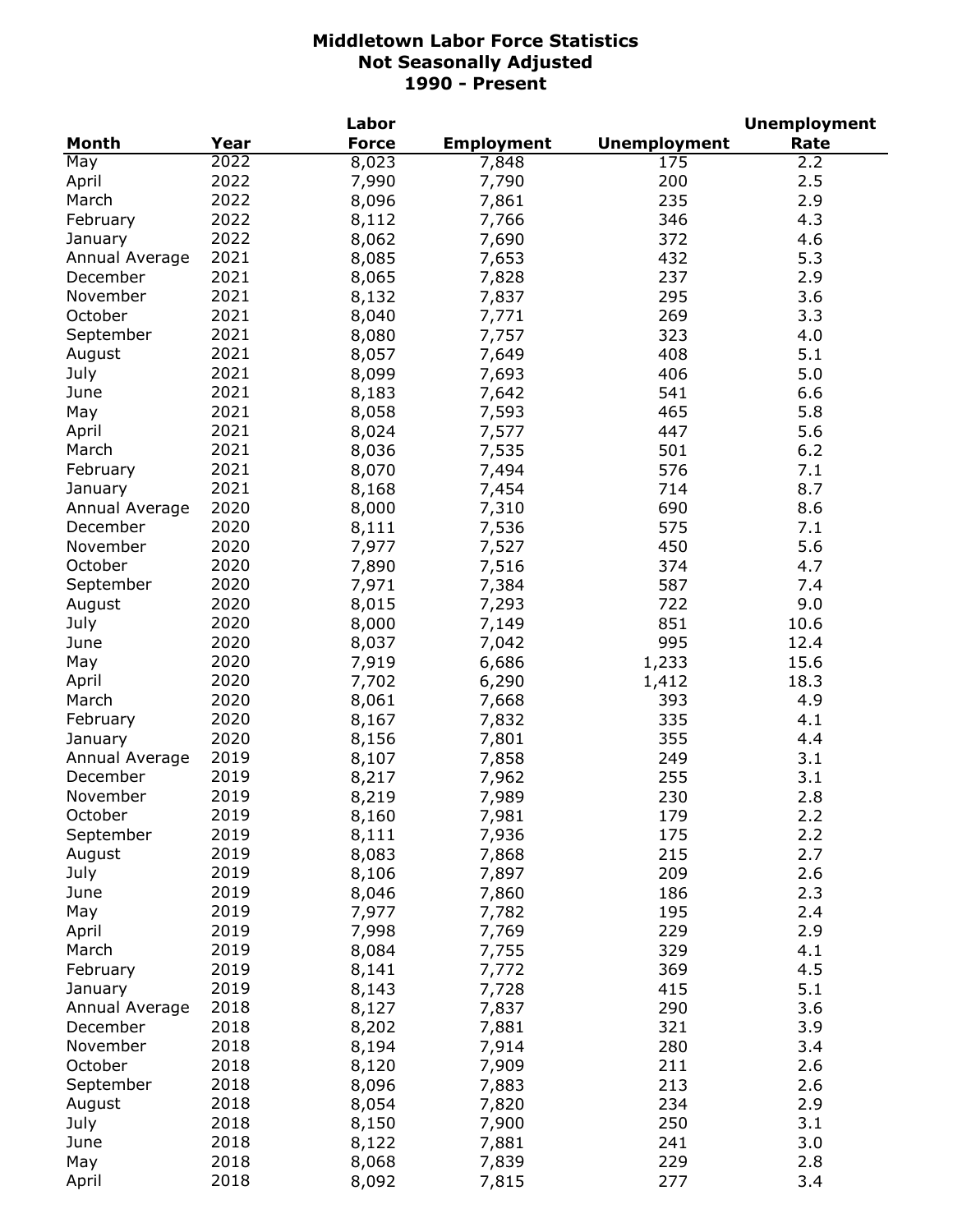| <b>Month</b><br>Year<br><b>Force</b><br><b>Unemployment</b><br><b>Employment</b><br>Rate<br>2022<br>8,023<br>May<br>175<br>7,848<br>2.2<br>2022<br>2.5<br>7,990<br>200<br>April<br>7,790<br>2022<br>235<br>2.9<br>March<br>8,096<br>7,861<br>2022<br>346<br>4.3<br>February<br>8,112<br>7,766<br>2022<br>372<br>4.6<br>8,062<br>7,690<br>January<br>2021<br>432<br>5.3<br>Annual Average<br>8,085<br>7,653<br>2021<br>8,065<br>237<br>2.9<br>December<br>7,828<br>2021<br>295<br>3.6<br>November<br>8,132<br>7,837<br>2021<br>8,040<br>269<br>3.3<br>October<br>7,771<br>2021<br>8,080<br>7,757<br>323<br>4.0<br>September<br>2021<br>8,057<br>7,649<br>408<br>5.1<br>August<br>2021<br>July<br>8,099<br>7,693<br>406<br>5.0<br>2021<br>8,183<br>7,642<br>541<br>6.6<br>June<br>2021<br>8,058<br>465<br>5.8<br>7,593<br>May<br>2021<br>8,024<br>7,577<br>5.6<br>April<br>447<br>2021<br>8,036<br>7,535<br>501<br>6.2<br>March<br>2021<br>8,070<br>7,494<br>576<br>7.1<br>February<br>2021<br>8.7<br>714<br>8,168<br>7,454<br>January<br>2020<br>8,000<br>690<br>8.6<br>Annual Average<br>7,310<br>2020<br>575<br>December<br>8,111<br>7,536<br>7.1<br>2020<br>5.6<br>November<br>7,977<br>450<br>7,527<br>2020<br>October<br>7,890<br>374<br>7,516<br>4.7<br>2020<br>7,971<br>587<br>September<br>7,384<br>7.4<br>2020<br>8,015<br>7,293<br>722<br>9.0<br>August<br>2020<br>851<br>July<br>8,000<br>10.6<br>7,149<br>2020<br>995<br>8,037<br>June<br>7,042<br>12.4<br>2020<br>7,919<br>6,686<br>1,233<br>15.6<br>May<br>2020<br>7,702<br>6,290<br>1,412<br>18.3<br>April<br>2020<br>8,061<br>7,668<br>393<br>4.9<br>March<br>2020<br>8,167<br>7,832<br>335<br>4.1<br>February<br>2020<br>8,156<br>7,801<br>355<br>4.4<br>January<br>2019<br>8,107<br>7,858<br>249<br>3.1<br>Annual Average<br>2019<br>8,217<br>255<br>3.1<br>December<br>7,962<br>November<br>2019<br>230<br>2.8<br>8,219<br>7,989<br>October<br>2019<br>179<br>2.2<br>8,160<br>7,981<br>2019<br>175<br>2.2<br>September<br>8,111<br>7,936<br>2019<br>215<br>2.7<br>August<br>8,083<br>7,868<br>2019<br>209<br>2.6<br>July<br>8,106<br>7,897<br>186<br>2.3<br>2019<br>8,046<br>June<br>7,860<br>2019<br>7,977<br>195<br>May<br>7,782<br>2.4<br>2019<br>7,998<br>229<br>2.9<br>April<br>7,769<br>2019<br>8,084<br>329<br>4.1<br>March<br>7,755<br>2019<br>369<br>4.5<br>February<br>8,141<br>7,772<br>2019<br>5.1<br>8,143<br>7,728<br>415<br>January<br>2018<br>8,127<br>7,837<br>290<br>3.6<br>Annual Average<br>8,202<br>2018<br>7,881<br>321<br>3.9<br>December<br>2018<br>8,194<br>280<br>3.4<br>November<br>7,914<br>October<br>2018<br>8,120<br>211<br>2.6<br>7,909<br>2018<br>213<br>2.6<br>September<br>8,096<br>7,883<br>2018<br>234<br>2.9<br>August<br>8,054<br>7,820<br>2018<br>250<br>3.1<br>July<br>8,150<br>7,900<br>2018<br>241<br>3.0<br>June<br>8,122<br>7,881<br>2018<br>May<br>229<br>8,068<br>2.8<br>7,839<br>2018<br>277<br>April<br>8,092<br>7,815<br>3.4 |  | Labor |  | <b>Unemployment</b> |
|--------------------------------------------------------------------------------------------------------------------------------------------------------------------------------------------------------------------------------------------------------------------------------------------------------------------------------------------------------------------------------------------------------------------------------------------------------------------------------------------------------------------------------------------------------------------------------------------------------------------------------------------------------------------------------------------------------------------------------------------------------------------------------------------------------------------------------------------------------------------------------------------------------------------------------------------------------------------------------------------------------------------------------------------------------------------------------------------------------------------------------------------------------------------------------------------------------------------------------------------------------------------------------------------------------------------------------------------------------------------------------------------------------------------------------------------------------------------------------------------------------------------------------------------------------------------------------------------------------------------------------------------------------------------------------------------------------------------------------------------------------------------------------------------------------------------------------------------------------------------------------------------------------------------------------------------------------------------------------------------------------------------------------------------------------------------------------------------------------------------------------------------------------------------------------------------------------------------------------------------------------------------------------------------------------------------------------------------------------------------------------------------------------------------------------------------------------------------------------------------------------------------------------------------------------------------------------------------------------------------------------------------------------------------------------------------------------------------------------------------------------------------------------------------------------------------------------------------------------------------------------------------------------------------------------------------------|--|-------|--|---------------------|
|                                                                                                                                                                                                                                                                                                                                                                                                                                                                                                                                                                                                                                                                                                                                                                                                                                                                                                                                                                                                                                                                                                                                                                                                                                                                                                                                                                                                                                                                                                                                                                                                                                                                                                                                                                                                                                                                                                                                                                                                                                                                                                                                                                                                                                                                                                                                                                                                                                                                                                                                                                                                                                                                                                                                                                                                                                                                                                                                                  |  |       |  |                     |
|                                                                                                                                                                                                                                                                                                                                                                                                                                                                                                                                                                                                                                                                                                                                                                                                                                                                                                                                                                                                                                                                                                                                                                                                                                                                                                                                                                                                                                                                                                                                                                                                                                                                                                                                                                                                                                                                                                                                                                                                                                                                                                                                                                                                                                                                                                                                                                                                                                                                                                                                                                                                                                                                                                                                                                                                                                                                                                                                                  |  |       |  |                     |
|                                                                                                                                                                                                                                                                                                                                                                                                                                                                                                                                                                                                                                                                                                                                                                                                                                                                                                                                                                                                                                                                                                                                                                                                                                                                                                                                                                                                                                                                                                                                                                                                                                                                                                                                                                                                                                                                                                                                                                                                                                                                                                                                                                                                                                                                                                                                                                                                                                                                                                                                                                                                                                                                                                                                                                                                                                                                                                                                                  |  |       |  |                     |
|                                                                                                                                                                                                                                                                                                                                                                                                                                                                                                                                                                                                                                                                                                                                                                                                                                                                                                                                                                                                                                                                                                                                                                                                                                                                                                                                                                                                                                                                                                                                                                                                                                                                                                                                                                                                                                                                                                                                                                                                                                                                                                                                                                                                                                                                                                                                                                                                                                                                                                                                                                                                                                                                                                                                                                                                                                                                                                                                                  |  |       |  |                     |
|                                                                                                                                                                                                                                                                                                                                                                                                                                                                                                                                                                                                                                                                                                                                                                                                                                                                                                                                                                                                                                                                                                                                                                                                                                                                                                                                                                                                                                                                                                                                                                                                                                                                                                                                                                                                                                                                                                                                                                                                                                                                                                                                                                                                                                                                                                                                                                                                                                                                                                                                                                                                                                                                                                                                                                                                                                                                                                                                                  |  |       |  |                     |
|                                                                                                                                                                                                                                                                                                                                                                                                                                                                                                                                                                                                                                                                                                                                                                                                                                                                                                                                                                                                                                                                                                                                                                                                                                                                                                                                                                                                                                                                                                                                                                                                                                                                                                                                                                                                                                                                                                                                                                                                                                                                                                                                                                                                                                                                                                                                                                                                                                                                                                                                                                                                                                                                                                                                                                                                                                                                                                                                                  |  |       |  |                     |
|                                                                                                                                                                                                                                                                                                                                                                                                                                                                                                                                                                                                                                                                                                                                                                                                                                                                                                                                                                                                                                                                                                                                                                                                                                                                                                                                                                                                                                                                                                                                                                                                                                                                                                                                                                                                                                                                                                                                                                                                                                                                                                                                                                                                                                                                                                                                                                                                                                                                                                                                                                                                                                                                                                                                                                                                                                                                                                                                                  |  |       |  |                     |
|                                                                                                                                                                                                                                                                                                                                                                                                                                                                                                                                                                                                                                                                                                                                                                                                                                                                                                                                                                                                                                                                                                                                                                                                                                                                                                                                                                                                                                                                                                                                                                                                                                                                                                                                                                                                                                                                                                                                                                                                                                                                                                                                                                                                                                                                                                                                                                                                                                                                                                                                                                                                                                                                                                                                                                                                                                                                                                                                                  |  |       |  |                     |
|                                                                                                                                                                                                                                                                                                                                                                                                                                                                                                                                                                                                                                                                                                                                                                                                                                                                                                                                                                                                                                                                                                                                                                                                                                                                                                                                                                                                                                                                                                                                                                                                                                                                                                                                                                                                                                                                                                                                                                                                                                                                                                                                                                                                                                                                                                                                                                                                                                                                                                                                                                                                                                                                                                                                                                                                                                                                                                                                                  |  |       |  |                     |
|                                                                                                                                                                                                                                                                                                                                                                                                                                                                                                                                                                                                                                                                                                                                                                                                                                                                                                                                                                                                                                                                                                                                                                                                                                                                                                                                                                                                                                                                                                                                                                                                                                                                                                                                                                                                                                                                                                                                                                                                                                                                                                                                                                                                                                                                                                                                                                                                                                                                                                                                                                                                                                                                                                                                                                                                                                                                                                                                                  |  |       |  |                     |
|                                                                                                                                                                                                                                                                                                                                                                                                                                                                                                                                                                                                                                                                                                                                                                                                                                                                                                                                                                                                                                                                                                                                                                                                                                                                                                                                                                                                                                                                                                                                                                                                                                                                                                                                                                                                                                                                                                                                                                                                                                                                                                                                                                                                                                                                                                                                                                                                                                                                                                                                                                                                                                                                                                                                                                                                                                                                                                                                                  |  |       |  |                     |
|                                                                                                                                                                                                                                                                                                                                                                                                                                                                                                                                                                                                                                                                                                                                                                                                                                                                                                                                                                                                                                                                                                                                                                                                                                                                                                                                                                                                                                                                                                                                                                                                                                                                                                                                                                                                                                                                                                                                                                                                                                                                                                                                                                                                                                                                                                                                                                                                                                                                                                                                                                                                                                                                                                                                                                                                                                                                                                                                                  |  |       |  |                     |
|                                                                                                                                                                                                                                                                                                                                                                                                                                                                                                                                                                                                                                                                                                                                                                                                                                                                                                                                                                                                                                                                                                                                                                                                                                                                                                                                                                                                                                                                                                                                                                                                                                                                                                                                                                                                                                                                                                                                                                                                                                                                                                                                                                                                                                                                                                                                                                                                                                                                                                                                                                                                                                                                                                                                                                                                                                                                                                                                                  |  |       |  |                     |
|                                                                                                                                                                                                                                                                                                                                                                                                                                                                                                                                                                                                                                                                                                                                                                                                                                                                                                                                                                                                                                                                                                                                                                                                                                                                                                                                                                                                                                                                                                                                                                                                                                                                                                                                                                                                                                                                                                                                                                                                                                                                                                                                                                                                                                                                                                                                                                                                                                                                                                                                                                                                                                                                                                                                                                                                                                                                                                                                                  |  |       |  |                     |
|                                                                                                                                                                                                                                                                                                                                                                                                                                                                                                                                                                                                                                                                                                                                                                                                                                                                                                                                                                                                                                                                                                                                                                                                                                                                                                                                                                                                                                                                                                                                                                                                                                                                                                                                                                                                                                                                                                                                                                                                                                                                                                                                                                                                                                                                                                                                                                                                                                                                                                                                                                                                                                                                                                                                                                                                                                                                                                                                                  |  |       |  |                     |
|                                                                                                                                                                                                                                                                                                                                                                                                                                                                                                                                                                                                                                                                                                                                                                                                                                                                                                                                                                                                                                                                                                                                                                                                                                                                                                                                                                                                                                                                                                                                                                                                                                                                                                                                                                                                                                                                                                                                                                                                                                                                                                                                                                                                                                                                                                                                                                                                                                                                                                                                                                                                                                                                                                                                                                                                                                                                                                                                                  |  |       |  |                     |
|                                                                                                                                                                                                                                                                                                                                                                                                                                                                                                                                                                                                                                                                                                                                                                                                                                                                                                                                                                                                                                                                                                                                                                                                                                                                                                                                                                                                                                                                                                                                                                                                                                                                                                                                                                                                                                                                                                                                                                                                                                                                                                                                                                                                                                                                                                                                                                                                                                                                                                                                                                                                                                                                                                                                                                                                                                                                                                                                                  |  |       |  |                     |
|                                                                                                                                                                                                                                                                                                                                                                                                                                                                                                                                                                                                                                                                                                                                                                                                                                                                                                                                                                                                                                                                                                                                                                                                                                                                                                                                                                                                                                                                                                                                                                                                                                                                                                                                                                                                                                                                                                                                                                                                                                                                                                                                                                                                                                                                                                                                                                                                                                                                                                                                                                                                                                                                                                                                                                                                                                                                                                                                                  |  |       |  |                     |
|                                                                                                                                                                                                                                                                                                                                                                                                                                                                                                                                                                                                                                                                                                                                                                                                                                                                                                                                                                                                                                                                                                                                                                                                                                                                                                                                                                                                                                                                                                                                                                                                                                                                                                                                                                                                                                                                                                                                                                                                                                                                                                                                                                                                                                                                                                                                                                                                                                                                                                                                                                                                                                                                                                                                                                                                                                                                                                                                                  |  |       |  |                     |
|                                                                                                                                                                                                                                                                                                                                                                                                                                                                                                                                                                                                                                                                                                                                                                                                                                                                                                                                                                                                                                                                                                                                                                                                                                                                                                                                                                                                                                                                                                                                                                                                                                                                                                                                                                                                                                                                                                                                                                                                                                                                                                                                                                                                                                                                                                                                                                                                                                                                                                                                                                                                                                                                                                                                                                                                                                                                                                                                                  |  |       |  |                     |
|                                                                                                                                                                                                                                                                                                                                                                                                                                                                                                                                                                                                                                                                                                                                                                                                                                                                                                                                                                                                                                                                                                                                                                                                                                                                                                                                                                                                                                                                                                                                                                                                                                                                                                                                                                                                                                                                                                                                                                                                                                                                                                                                                                                                                                                                                                                                                                                                                                                                                                                                                                                                                                                                                                                                                                                                                                                                                                                                                  |  |       |  |                     |
|                                                                                                                                                                                                                                                                                                                                                                                                                                                                                                                                                                                                                                                                                                                                                                                                                                                                                                                                                                                                                                                                                                                                                                                                                                                                                                                                                                                                                                                                                                                                                                                                                                                                                                                                                                                                                                                                                                                                                                                                                                                                                                                                                                                                                                                                                                                                                                                                                                                                                                                                                                                                                                                                                                                                                                                                                                                                                                                                                  |  |       |  |                     |
|                                                                                                                                                                                                                                                                                                                                                                                                                                                                                                                                                                                                                                                                                                                                                                                                                                                                                                                                                                                                                                                                                                                                                                                                                                                                                                                                                                                                                                                                                                                                                                                                                                                                                                                                                                                                                                                                                                                                                                                                                                                                                                                                                                                                                                                                                                                                                                                                                                                                                                                                                                                                                                                                                                                                                                                                                                                                                                                                                  |  |       |  |                     |
|                                                                                                                                                                                                                                                                                                                                                                                                                                                                                                                                                                                                                                                                                                                                                                                                                                                                                                                                                                                                                                                                                                                                                                                                                                                                                                                                                                                                                                                                                                                                                                                                                                                                                                                                                                                                                                                                                                                                                                                                                                                                                                                                                                                                                                                                                                                                                                                                                                                                                                                                                                                                                                                                                                                                                                                                                                                                                                                                                  |  |       |  |                     |
|                                                                                                                                                                                                                                                                                                                                                                                                                                                                                                                                                                                                                                                                                                                                                                                                                                                                                                                                                                                                                                                                                                                                                                                                                                                                                                                                                                                                                                                                                                                                                                                                                                                                                                                                                                                                                                                                                                                                                                                                                                                                                                                                                                                                                                                                                                                                                                                                                                                                                                                                                                                                                                                                                                                                                                                                                                                                                                                                                  |  |       |  |                     |
|                                                                                                                                                                                                                                                                                                                                                                                                                                                                                                                                                                                                                                                                                                                                                                                                                                                                                                                                                                                                                                                                                                                                                                                                                                                                                                                                                                                                                                                                                                                                                                                                                                                                                                                                                                                                                                                                                                                                                                                                                                                                                                                                                                                                                                                                                                                                                                                                                                                                                                                                                                                                                                                                                                                                                                                                                                                                                                                                                  |  |       |  |                     |
|                                                                                                                                                                                                                                                                                                                                                                                                                                                                                                                                                                                                                                                                                                                                                                                                                                                                                                                                                                                                                                                                                                                                                                                                                                                                                                                                                                                                                                                                                                                                                                                                                                                                                                                                                                                                                                                                                                                                                                                                                                                                                                                                                                                                                                                                                                                                                                                                                                                                                                                                                                                                                                                                                                                                                                                                                                                                                                                                                  |  |       |  |                     |
|                                                                                                                                                                                                                                                                                                                                                                                                                                                                                                                                                                                                                                                                                                                                                                                                                                                                                                                                                                                                                                                                                                                                                                                                                                                                                                                                                                                                                                                                                                                                                                                                                                                                                                                                                                                                                                                                                                                                                                                                                                                                                                                                                                                                                                                                                                                                                                                                                                                                                                                                                                                                                                                                                                                                                                                                                                                                                                                                                  |  |       |  |                     |
|                                                                                                                                                                                                                                                                                                                                                                                                                                                                                                                                                                                                                                                                                                                                                                                                                                                                                                                                                                                                                                                                                                                                                                                                                                                                                                                                                                                                                                                                                                                                                                                                                                                                                                                                                                                                                                                                                                                                                                                                                                                                                                                                                                                                                                                                                                                                                                                                                                                                                                                                                                                                                                                                                                                                                                                                                                                                                                                                                  |  |       |  |                     |
|                                                                                                                                                                                                                                                                                                                                                                                                                                                                                                                                                                                                                                                                                                                                                                                                                                                                                                                                                                                                                                                                                                                                                                                                                                                                                                                                                                                                                                                                                                                                                                                                                                                                                                                                                                                                                                                                                                                                                                                                                                                                                                                                                                                                                                                                                                                                                                                                                                                                                                                                                                                                                                                                                                                                                                                                                                                                                                                                                  |  |       |  |                     |
|                                                                                                                                                                                                                                                                                                                                                                                                                                                                                                                                                                                                                                                                                                                                                                                                                                                                                                                                                                                                                                                                                                                                                                                                                                                                                                                                                                                                                                                                                                                                                                                                                                                                                                                                                                                                                                                                                                                                                                                                                                                                                                                                                                                                                                                                                                                                                                                                                                                                                                                                                                                                                                                                                                                                                                                                                                                                                                                                                  |  |       |  |                     |
|                                                                                                                                                                                                                                                                                                                                                                                                                                                                                                                                                                                                                                                                                                                                                                                                                                                                                                                                                                                                                                                                                                                                                                                                                                                                                                                                                                                                                                                                                                                                                                                                                                                                                                                                                                                                                                                                                                                                                                                                                                                                                                                                                                                                                                                                                                                                                                                                                                                                                                                                                                                                                                                                                                                                                                                                                                                                                                                                                  |  |       |  |                     |
|                                                                                                                                                                                                                                                                                                                                                                                                                                                                                                                                                                                                                                                                                                                                                                                                                                                                                                                                                                                                                                                                                                                                                                                                                                                                                                                                                                                                                                                                                                                                                                                                                                                                                                                                                                                                                                                                                                                                                                                                                                                                                                                                                                                                                                                                                                                                                                                                                                                                                                                                                                                                                                                                                                                                                                                                                                                                                                                                                  |  |       |  |                     |
|                                                                                                                                                                                                                                                                                                                                                                                                                                                                                                                                                                                                                                                                                                                                                                                                                                                                                                                                                                                                                                                                                                                                                                                                                                                                                                                                                                                                                                                                                                                                                                                                                                                                                                                                                                                                                                                                                                                                                                                                                                                                                                                                                                                                                                                                                                                                                                                                                                                                                                                                                                                                                                                                                                                                                                                                                                                                                                                                                  |  |       |  |                     |
|                                                                                                                                                                                                                                                                                                                                                                                                                                                                                                                                                                                                                                                                                                                                                                                                                                                                                                                                                                                                                                                                                                                                                                                                                                                                                                                                                                                                                                                                                                                                                                                                                                                                                                                                                                                                                                                                                                                                                                                                                                                                                                                                                                                                                                                                                                                                                                                                                                                                                                                                                                                                                                                                                                                                                                                                                                                                                                                                                  |  |       |  |                     |
|                                                                                                                                                                                                                                                                                                                                                                                                                                                                                                                                                                                                                                                                                                                                                                                                                                                                                                                                                                                                                                                                                                                                                                                                                                                                                                                                                                                                                                                                                                                                                                                                                                                                                                                                                                                                                                                                                                                                                                                                                                                                                                                                                                                                                                                                                                                                                                                                                                                                                                                                                                                                                                                                                                                                                                                                                                                                                                                                                  |  |       |  |                     |
|                                                                                                                                                                                                                                                                                                                                                                                                                                                                                                                                                                                                                                                                                                                                                                                                                                                                                                                                                                                                                                                                                                                                                                                                                                                                                                                                                                                                                                                                                                                                                                                                                                                                                                                                                                                                                                                                                                                                                                                                                                                                                                                                                                                                                                                                                                                                                                                                                                                                                                                                                                                                                                                                                                                                                                                                                                                                                                                                                  |  |       |  |                     |
|                                                                                                                                                                                                                                                                                                                                                                                                                                                                                                                                                                                                                                                                                                                                                                                                                                                                                                                                                                                                                                                                                                                                                                                                                                                                                                                                                                                                                                                                                                                                                                                                                                                                                                                                                                                                                                                                                                                                                                                                                                                                                                                                                                                                                                                                                                                                                                                                                                                                                                                                                                                                                                                                                                                                                                                                                                                                                                                                                  |  |       |  |                     |
|                                                                                                                                                                                                                                                                                                                                                                                                                                                                                                                                                                                                                                                                                                                                                                                                                                                                                                                                                                                                                                                                                                                                                                                                                                                                                                                                                                                                                                                                                                                                                                                                                                                                                                                                                                                                                                                                                                                                                                                                                                                                                                                                                                                                                                                                                                                                                                                                                                                                                                                                                                                                                                                                                                                                                                                                                                                                                                                                                  |  |       |  |                     |
|                                                                                                                                                                                                                                                                                                                                                                                                                                                                                                                                                                                                                                                                                                                                                                                                                                                                                                                                                                                                                                                                                                                                                                                                                                                                                                                                                                                                                                                                                                                                                                                                                                                                                                                                                                                                                                                                                                                                                                                                                                                                                                                                                                                                                                                                                                                                                                                                                                                                                                                                                                                                                                                                                                                                                                                                                                                                                                                                                  |  |       |  |                     |
|                                                                                                                                                                                                                                                                                                                                                                                                                                                                                                                                                                                                                                                                                                                                                                                                                                                                                                                                                                                                                                                                                                                                                                                                                                                                                                                                                                                                                                                                                                                                                                                                                                                                                                                                                                                                                                                                                                                                                                                                                                                                                                                                                                                                                                                                                                                                                                                                                                                                                                                                                                                                                                                                                                                                                                                                                                                                                                                                                  |  |       |  |                     |
|                                                                                                                                                                                                                                                                                                                                                                                                                                                                                                                                                                                                                                                                                                                                                                                                                                                                                                                                                                                                                                                                                                                                                                                                                                                                                                                                                                                                                                                                                                                                                                                                                                                                                                                                                                                                                                                                                                                                                                                                                                                                                                                                                                                                                                                                                                                                                                                                                                                                                                                                                                                                                                                                                                                                                                                                                                                                                                                                                  |  |       |  |                     |
|                                                                                                                                                                                                                                                                                                                                                                                                                                                                                                                                                                                                                                                                                                                                                                                                                                                                                                                                                                                                                                                                                                                                                                                                                                                                                                                                                                                                                                                                                                                                                                                                                                                                                                                                                                                                                                                                                                                                                                                                                                                                                                                                                                                                                                                                                                                                                                                                                                                                                                                                                                                                                                                                                                                                                                                                                                                                                                                                                  |  |       |  |                     |
|                                                                                                                                                                                                                                                                                                                                                                                                                                                                                                                                                                                                                                                                                                                                                                                                                                                                                                                                                                                                                                                                                                                                                                                                                                                                                                                                                                                                                                                                                                                                                                                                                                                                                                                                                                                                                                                                                                                                                                                                                                                                                                                                                                                                                                                                                                                                                                                                                                                                                                                                                                                                                                                                                                                                                                                                                                                                                                                                                  |  |       |  |                     |
|                                                                                                                                                                                                                                                                                                                                                                                                                                                                                                                                                                                                                                                                                                                                                                                                                                                                                                                                                                                                                                                                                                                                                                                                                                                                                                                                                                                                                                                                                                                                                                                                                                                                                                                                                                                                                                                                                                                                                                                                                                                                                                                                                                                                                                                                                                                                                                                                                                                                                                                                                                                                                                                                                                                                                                                                                                                                                                                                                  |  |       |  |                     |
|                                                                                                                                                                                                                                                                                                                                                                                                                                                                                                                                                                                                                                                                                                                                                                                                                                                                                                                                                                                                                                                                                                                                                                                                                                                                                                                                                                                                                                                                                                                                                                                                                                                                                                                                                                                                                                                                                                                                                                                                                                                                                                                                                                                                                                                                                                                                                                                                                                                                                                                                                                                                                                                                                                                                                                                                                                                                                                                                                  |  |       |  |                     |
|                                                                                                                                                                                                                                                                                                                                                                                                                                                                                                                                                                                                                                                                                                                                                                                                                                                                                                                                                                                                                                                                                                                                                                                                                                                                                                                                                                                                                                                                                                                                                                                                                                                                                                                                                                                                                                                                                                                                                                                                                                                                                                                                                                                                                                                                                                                                                                                                                                                                                                                                                                                                                                                                                                                                                                                                                                                                                                                                                  |  |       |  |                     |
|                                                                                                                                                                                                                                                                                                                                                                                                                                                                                                                                                                                                                                                                                                                                                                                                                                                                                                                                                                                                                                                                                                                                                                                                                                                                                                                                                                                                                                                                                                                                                                                                                                                                                                                                                                                                                                                                                                                                                                                                                                                                                                                                                                                                                                                                                                                                                                                                                                                                                                                                                                                                                                                                                                                                                                                                                                                                                                                                                  |  |       |  |                     |
|                                                                                                                                                                                                                                                                                                                                                                                                                                                                                                                                                                                                                                                                                                                                                                                                                                                                                                                                                                                                                                                                                                                                                                                                                                                                                                                                                                                                                                                                                                                                                                                                                                                                                                                                                                                                                                                                                                                                                                                                                                                                                                                                                                                                                                                                                                                                                                                                                                                                                                                                                                                                                                                                                                                                                                                                                                                                                                                                                  |  |       |  |                     |
|                                                                                                                                                                                                                                                                                                                                                                                                                                                                                                                                                                                                                                                                                                                                                                                                                                                                                                                                                                                                                                                                                                                                                                                                                                                                                                                                                                                                                                                                                                                                                                                                                                                                                                                                                                                                                                                                                                                                                                                                                                                                                                                                                                                                                                                                                                                                                                                                                                                                                                                                                                                                                                                                                                                                                                                                                                                                                                                                                  |  |       |  |                     |
|                                                                                                                                                                                                                                                                                                                                                                                                                                                                                                                                                                                                                                                                                                                                                                                                                                                                                                                                                                                                                                                                                                                                                                                                                                                                                                                                                                                                                                                                                                                                                                                                                                                                                                                                                                                                                                                                                                                                                                                                                                                                                                                                                                                                                                                                                                                                                                                                                                                                                                                                                                                                                                                                                                                                                                                                                                                                                                                                                  |  |       |  |                     |
|                                                                                                                                                                                                                                                                                                                                                                                                                                                                                                                                                                                                                                                                                                                                                                                                                                                                                                                                                                                                                                                                                                                                                                                                                                                                                                                                                                                                                                                                                                                                                                                                                                                                                                                                                                                                                                                                                                                                                                                                                                                                                                                                                                                                                                                                                                                                                                                                                                                                                                                                                                                                                                                                                                                                                                                                                                                                                                                                                  |  |       |  |                     |
|                                                                                                                                                                                                                                                                                                                                                                                                                                                                                                                                                                                                                                                                                                                                                                                                                                                                                                                                                                                                                                                                                                                                                                                                                                                                                                                                                                                                                                                                                                                                                                                                                                                                                                                                                                                                                                                                                                                                                                                                                                                                                                                                                                                                                                                                                                                                                                                                                                                                                                                                                                                                                                                                                                                                                                                                                                                                                                                                                  |  |       |  |                     |
|                                                                                                                                                                                                                                                                                                                                                                                                                                                                                                                                                                                                                                                                                                                                                                                                                                                                                                                                                                                                                                                                                                                                                                                                                                                                                                                                                                                                                                                                                                                                                                                                                                                                                                                                                                                                                                                                                                                                                                                                                                                                                                                                                                                                                                                                                                                                                                                                                                                                                                                                                                                                                                                                                                                                                                                                                                                                                                                                                  |  |       |  |                     |
|                                                                                                                                                                                                                                                                                                                                                                                                                                                                                                                                                                                                                                                                                                                                                                                                                                                                                                                                                                                                                                                                                                                                                                                                                                                                                                                                                                                                                                                                                                                                                                                                                                                                                                                                                                                                                                                                                                                                                                                                                                                                                                                                                                                                                                                                                                                                                                                                                                                                                                                                                                                                                                                                                                                                                                                                                                                                                                                                                  |  |       |  |                     |
|                                                                                                                                                                                                                                                                                                                                                                                                                                                                                                                                                                                                                                                                                                                                                                                                                                                                                                                                                                                                                                                                                                                                                                                                                                                                                                                                                                                                                                                                                                                                                                                                                                                                                                                                                                                                                                                                                                                                                                                                                                                                                                                                                                                                                                                                                                                                                                                                                                                                                                                                                                                                                                                                                                                                                                                                                                                                                                                                                  |  |       |  |                     |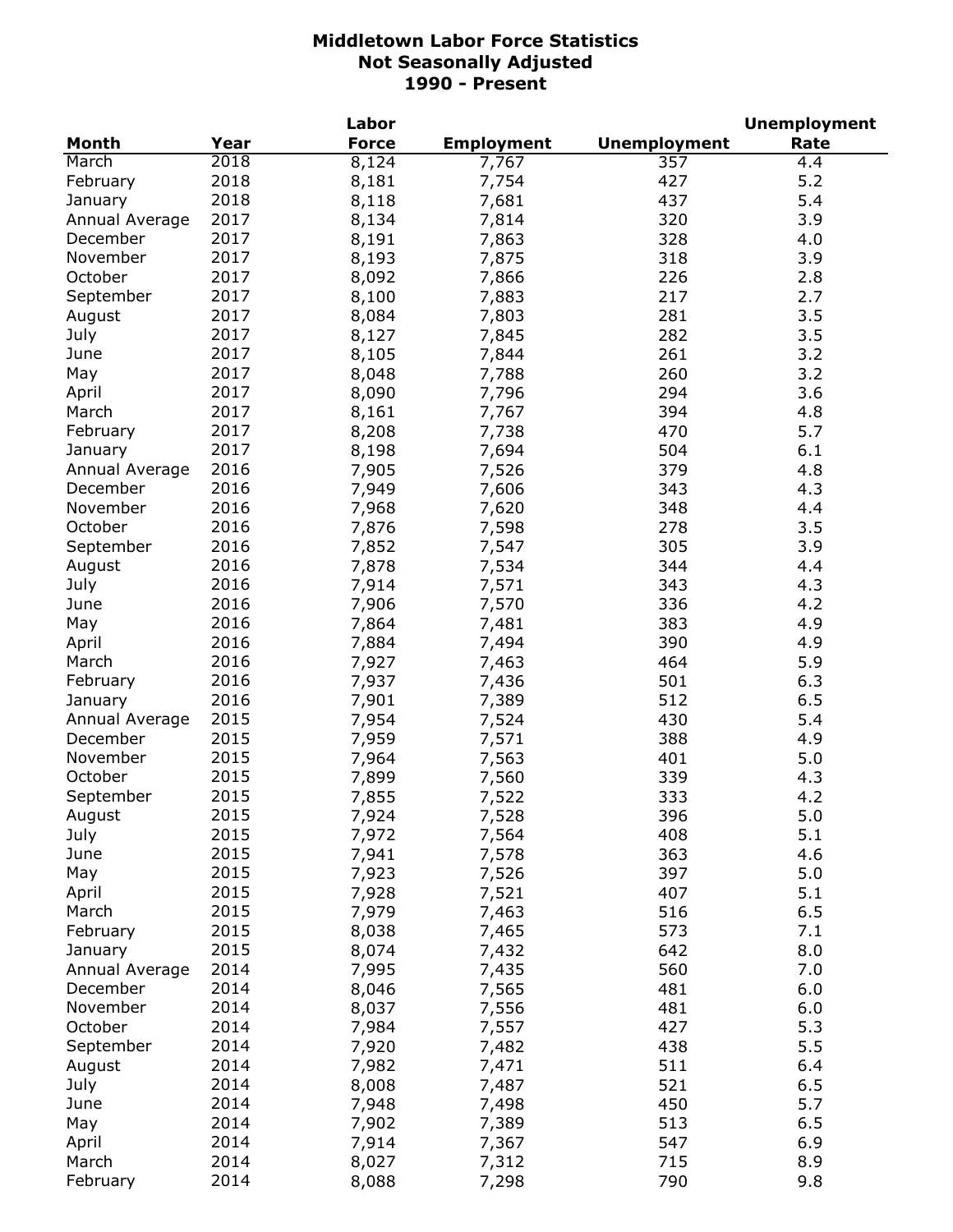|                |      | Labor        |                   |                     | <b>Unemployment</b> |
|----------------|------|--------------|-------------------|---------------------|---------------------|
| Month          | Year | <b>Force</b> | <b>Employment</b> | <b>Unemployment</b> | Rate                |
| March          | 2018 | 8,124        | 7,767             | 357                 | 4.4                 |
| February       | 2018 | 8,181        | 7,754             | 427                 | 5.2                 |
| January        | 2018 | 8,118        | 7,681             | 437                 | 5.4                 |
| Annual Average | 2017 | 8,134        | 7,814             | 320                 | 3.9                 |
| December       | 2017 | 8,191        | 7,863             | 328                 | 4.0                 |
| November       | 2017 | 8,193        | 7,875             | 318                 | 3.9                 |
| October        | 2017 | 8,092        | 7,866             | 226                 | 2.8                 |
| September      | 2017 | 8,100        | 7,883             | 217                 | 2.7                 |
| August         | 2017 | 8,084        | 7,803             | 281                 | 3.5                 |
| July           | 2017 | 8,127        | 7,845             | 282                 | 3.5                 |
| June           | 2017 | 8,105        |                   | 261                 | 3.2                 |
|                | 2017 |              | 7,844             |                     | 3.2                 |
| May            |      | 8,048        | 7,788             | 260                 |                     |
| April          | 2017 | 8,090        | 7,796             | 294                 | 3.6                 |
| March          | 2017 | 8,161        | 7,767             | 394                 | 4.8                 |
| February       | 2017 | 8,208        | 7,738             | 470                 | 5.7                 |
| January        | 2017 | 8,198        | 7,694             | 504                 | 6.1                 |
| Annual Average | 2016 | 7,905        | 7,526             | 379                 | 4.8                 |
| December       | 2016 | 7,949        | 7,606             | 343                 | 4.3                 |
| November       | 2016 | 7,968        | 7,620             | 348                 | 4.4                 |
| October        | 2016 | 7,876        | 7,598             | 278                 | 3.5                 |
| September      | 2016 | 7,852        | 7,547             | 305                 | 3.9                 |
| August         | 2016 | 7,878        | 7,534             | 344                 | 4.4                 |
| July           | 2016 | 7,914        | 7,571             | 343                 | 4.3                 |
| June           | 2016 | 7,906        | 7,570             | 336                 | 4.2                 |
| May            | 2016 | 7,864        | 7,481             | 383                 | 4.9                 |
| April          | 2016 | 7,884        | 7,494             | 390                 | 4.9                 |
| March          | 2016 | 7,927        | 7,463             | 464                 | 5.9                 |
| February       | 2016 | 7,937        | 7,436             | 501                 | 6.3                 |
| January        | 2016 | 7,901        | 7,389             | 512                 | 6.5                 |
| Annual Average | 2015 | 7,954        | 7,524             | 430                 | 5.4                 |
| December       | 2015 | 7,959        | 7,571             | 388                 | 4.9                 |
| November       | 2015 | 7,964        | 7,563             | 401                 | 5.0                 |
| October        | 2015 | 7,899        | 7,560             | 339                 | 4.3                 |
| September      | 2015 | 7,855        | 7,522             | 333                 | 4.2                 |
| August         | 2015 | 7,924        | 7,528             | 396                 | 5.0                 |
| July           | 2015 | 7,972        | 7,564             | 408                 | 5.1                 |
| June           | 2015 | 7,941        | 7,578             | 363                 | 4.6                 |
| May            | 2015 | 7,923        | 7,526             | 397                 | 5.0                 |
| April          | 2015 | 7,928        | 7,521             | 407                 | 5.1                 |
| March          | 2015 | 7,979        |                   | 516                 | 6.5                 |
|                |      |              | 7,463             |                     |                     |
| February       | 2015 | 8,038        | 7,465             | 573                 | 7.1                 |
| January        | 2015 | 8,074        | 7,432             | 642                 | 8.0                 |
| Annual Average | 2014 | 7,995        | 7,435             | 560                 | 7.0                 |
| December       | 2014 | 8,046        | 7,565             | 481                 | 6.0                 |
| November       | 2014 | 8,037        | 7,556             | 481                 | 6.0                 |
| October        | 2014 | 7,984        | 7,557             | 427                 | 5.3                 |
| September      | 2014 | 7,920        | 7,482             | 438                 | 5.5                 |
| August         | 2014 | 7,982        | 7,471             | 511                 | 6.4                 |
| July           | 2014 | 8,008        | 7,487             | 521                 | 6.5                 |
| June           | 2014 | 7,948        | 7,498             | 450                 | 5.7                 |
| May            | 2014 | 7,902        | 7,389             | 513                 | 6.5                 |
| April          | 2014 | 7,914        | 7,367             | 547                 | 6.9                 |
| March          | 2014 | 8,027        | 7,312             | 715                 | 8.9                 |
| February       | 2014 | 8,088        | 7,298             | 790                 | 9.8                 |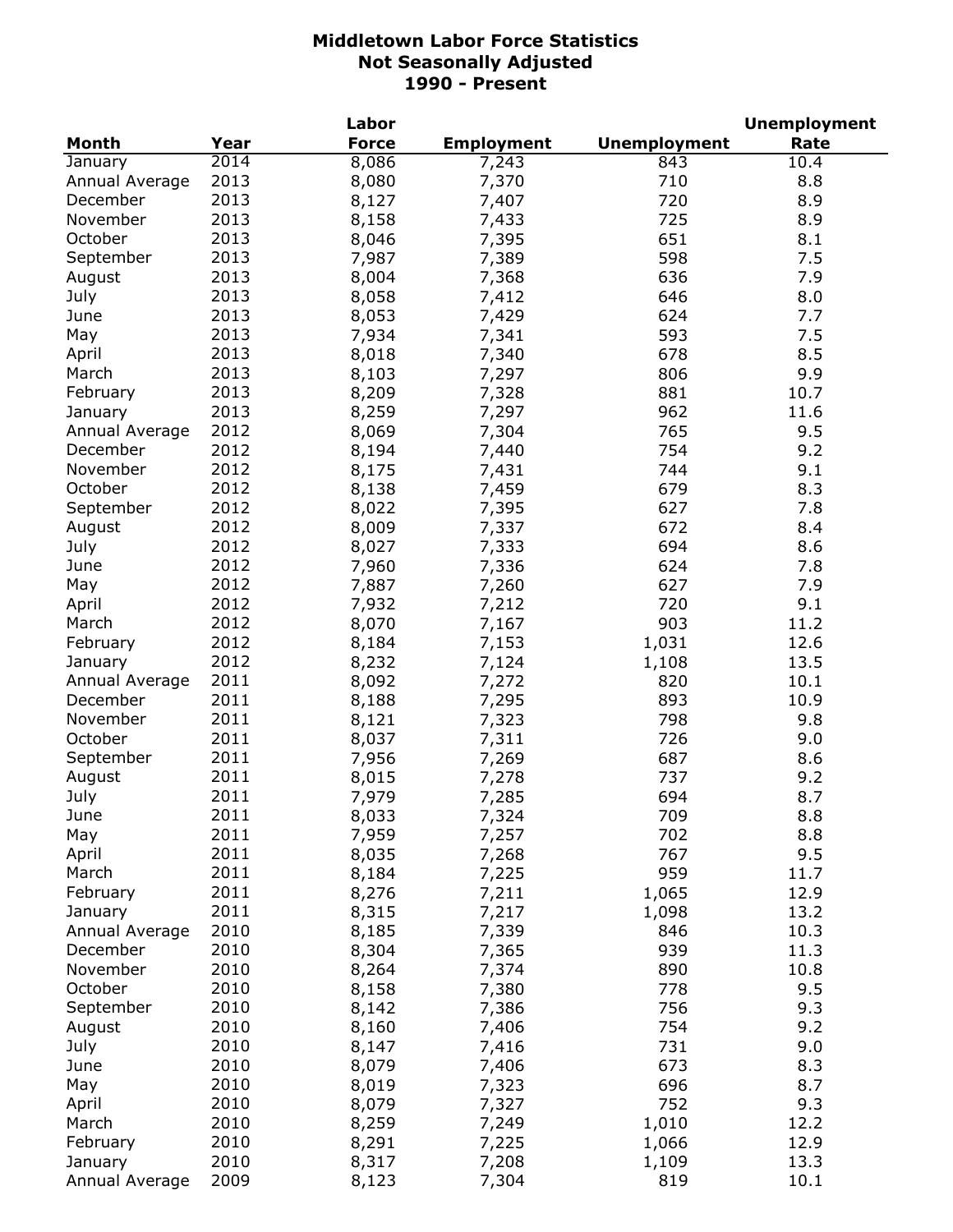|                |      | Labor        |                   |                     | <b>Unemployment</b> |
|----------------|------|--------------|-------------------|---------------------|---------------------|
| <b>Month</b>   | Year | <b>Force</b> | <b>Employment</b> | <b>Unemployment</b> | Rate                |
| January        | 2014 | 8,086        | 7,243             | 843                 | 10.4                |
| Annual Average | 2013 | 8,080        | 7,370             | 710                 | 8.8                 |
| December       | 2013 | 8,127        | 7,407             | 720                 | 8.9                 |
| November       | 2013 | 8,158        | 7,433             | 725                 | 8.9                 |
| October        | 2013 | 8,046        | 7,395             | 651                 | 8.1                 |
| September      | 2013 | 7,987        | 7,389             | 598                 | 7.5                 |
| August         | 2013 | 8,004        | 7,368             | 636                 | 7.9                 |
| July           | 2013 | 8,058        | 7,412             | 646                 | 8.0                 |
| June           | 2013 | 8,053        | 7,429             | 624                 | 7.7                 |
| May            | 2013 | 7,934        | 7,341             | 593                 | 7.5                 |
| April          | 2013 | 8,018        | 7,340             | 678                 | 8.5                 |
| March          | 2013 | 8,103        | 7,297             | 806                 | 9.9                 |
|                | 2013 | 8,209        |                   | 881                 |                     |
| February       |      |              | 7,328             |                     | 10.7                |
| January        | 2013 | 8,259        | 7,297             | 962                 | 11.6                |
| Annual Average | 2012 | 8,069        | 7,304             | 765                 | 9.5                 |
| December       | 2012 | 8,194        | 7,440             | 754                 | 9.2                 |
| November       | 2012 | 8,175        | 7,431             | 744                 | 9.1                 |
| October        | 2012 | 8,138        | 7,459             | 679                 | 8.3                 |
| September      | 2012 | 8,022        | 7,395             | 627                 | 7.8                 |
| August         | 2012 | 8,009        | 7,337             | 672                 | 8.4                 |
| July           | 2012 | 8,027        | 7,333             | 694                 | 8.6                 |
| June           | 2012 | 7,960        | 7,336             | 624                 | 7.8                 |
| May            | 2012 | 7,887        | 7,260             | 627                 | 7.9                 |
| April          | 2012 | 7,932        | 7,212             | 720                 | 9.1                 |
| March          | 2012 | 8,070        | 7,167             | 903                 | 11.2                |
| February       | 2012 | 8,184        | 7,153             | 1,031               | 12.6                |
| January        | 2012 | 8,232        | 7,124             | 1,108               | 13.5                |
| Annual Average | 2011 | 8,092        | 7,272             | 820                 | 10.1                |
| December       | 2011 | 8,188        | 7,295             | 893                 | 10.9                |
| November       | 2011 | 8,121        | 7,323             | 798                 | 9.8                 |
| October        | 2011 | 8,037        | 7,311             | 726                 | 9.0                 |
| September      | 2011 | 7,956        | 7,269             | 687                 | 8.6                 |
| August         | 2011 | 8,015        | 7,278             | 737                 | 9.2                 |
| July           | 2011 | 7,979        | 7,285             | 694                 | 8.7                 |
| June           | 2011 | 8,033        | 7,324             | 709                 | 8.8                 |
| May            | 2011 | 7,959        | 7,257             | 702                 | 8.8                 |
| April          | 2011 | 8,035        | 7,268             | 767                 | 9.5                 |
| March          | 2011 | 8,184        | 7,225             | 959                 | 11.7                |
| February       | 2011 | 8,276        | 7,211             | 1,065               | 12.9                |
| January        | 2011 | 8,315        | 7,217             | 1,098               | 13.2                |
| Annual Average | 2010 | 8,185        | 7,339             | 846                 | 10.3                |
| December       | 2010 | 8,304        | 7,365             | 939                 | 11.3                |
| November       | 2010 | 8,264        | 7,374             | 890                 | 10.8                |
| October        | 2010 | 8,158        | 7,380             | 778                 | 9.5                 |
|                |      |              |                   |                     |                     |
| September      | 2010 | 8,142        | 7,386             | 756                 | 9.3                 |
| August         | 2010 | 8,160        | 7,406             | 754                 | 9.2                 |
| July           | 2010 | 8,147        | 7,416             | 731                 | 9.0                 |
| June           | 2010 | 8,079        | 7,406             | 673                 | 8.3                 |
| May            | 2010 | 8,019        | 7,323             | 696                 | 8.7                 |
| April          | 2010 | 8,079        | 7,327             | 752                 | 9.3                 |
| March          | 2010 | 8,259        | 7,249             | 1,010               | 12.2                |
| February       | 2010 | 8,291        | 7,225             | 1,066               | 12.9                |
| January        | 2010 | 8,317        | 7,208             | 1,109               | 13.3                |
| Annual Average | 2009 | 8,123        | 7,304             | 819                 | 10.1                |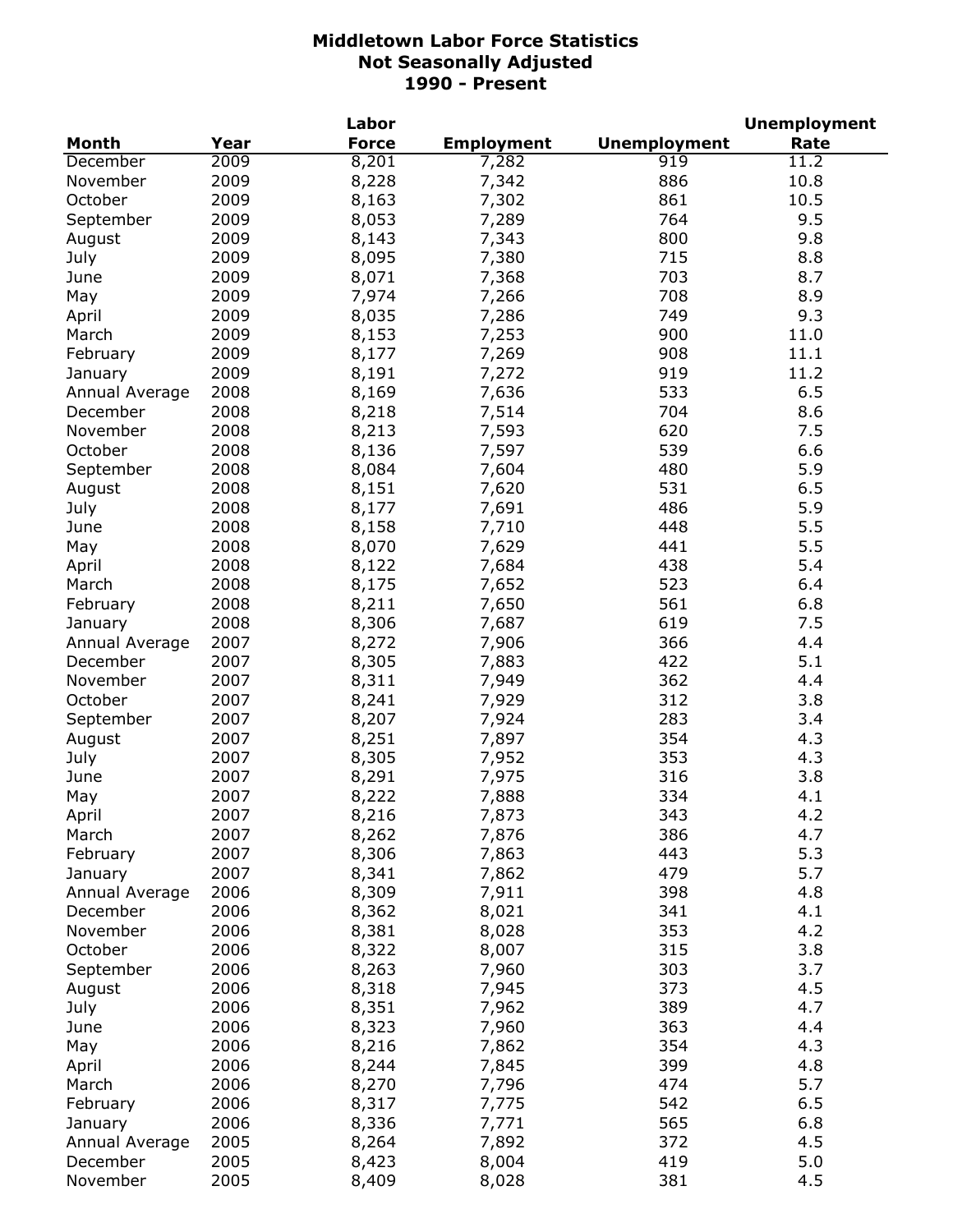|                |      | Labor        |                   |                     | <b>Unemployment</b> |
|----------------|------|--------------|-------------------|---------------------|---------------------|
| <b>Month</b>   | Year | <b>Force</b> | <b>Employment</b> | <b>Unemployment</b> | Rate                |
| December       | 2009 | 8,201        | 7,282             | $\overline{919}$    | 11.2                |
| November       | 2009 | 8,228        | 7,342             | 886                 | 10.8                |
| October        | 2009 | 8,163        | 7,302             | 861                 | 10.5                |
| September      | 2009 | 8,053        | 7,289             | 764                 | 9.5                 |
| August         | 2009 | 8,143        | 7,343             | 800                 | 9.8                 |
| July           | 2009 | 8,095        | 7,380             | 715                 | 8.8                 |
| June           | 2009 | 8,071        | 7,368             | 703                 | 8.7                 |
| May            | 2009 | 7,974        | 7,266             | 708                 | 8.9                 |
| April          | 2009 | 8,035        | 7,286             | 749                 | 9.3                 |
| March          | 2009 | 8,153        | 7,253             | 900                 | 11.0                |
| February       | 2009 | 8,177        | 7,269             | 908                 | 11.1                |
| January        | 2009 | 8,191        | 7,272             | 919                 | 11.2                |
| Annual Average | 2008 | 8,169        | 7,636             | 533                 | 6.5                 |
| December       | 2008 |              |                   | 704                 | 8.6                 |
|                |      | 8,218        | 7,514             | 620                 | 7.5                 |
| November       | 2008 | 8,213        | 7,593             |                     | 6.6                 |
| October        | 2008 | 8,136        | 7,597             | 539                 |                     |
| September      | 2008 | 8,084        | 7,604             | 480                 | 5.9                 |
| August         | 2008 | 8,151        | 7,620             | 531                 | 6.5                 |
| July           | 2008 | 8,177        | 7,691             | 486                 | 5.9                 |
| June           | 2008 | 8,158        | 7,710             | 448                 | 5.5                 |
| May            | 2008 | 8,070        | 7,629             | 441                 | 5.5                 |
| April          | 2008 | 8,122        | 7,684             | 438                 | 5.4                 |
| March          | 2008 | 8,175        | 7,652             | 523                 | 6.4                 |
| February       | 2008 | 8,211        | 7,650             | 561                 | 6.8                 |
| January        | 2008 | 8,306        | 7,687             | 619                 | 7.5                 |
| Annual Average | 2007 | 8,272        | 7,906             | 366                 | 4.4                 |
| December       | 2007 | 8,305        | 7,883             | 422                 | 5.1                 |
| November       | 2007 | 8,311        | 7,949             | 362                 | 4.4                 |
| October        | 2007 | 8,241        | 7,929             | 312                 | 3.8                 |
| September      | 2007 | 8,207        | 7,924             | 283                 | 3.4                 |
| August         | 2007 | 8,251        | 7,897             | 354                 | 4.3                 |
| July           | 2007 | 8,305        | 7,952             | 353                 | 4.3                 |
| June           | 2007 | 8,291        | 7,975             | 316                 | 3.8                 |
| May            | 2007 | 8,222        | 7,888             | 334                 | 4.1                 |
| April          | 2007 | 8,216        | 7,873             | 343                 | 4.2                 |
| March          | 2007 | 8,262        | 7,876             | 386                 | 4.7                 |
| February       | 2007 | 8,306        | 7,863             | 443                 | 5.3                 |
| January        | 2007 | 8,341        | 7,862             | 479                 | 5.7                 |
| Annual Average | 2006 | 8,309        | 7,911             | 398                 | 4.8                 |
| December       | 2006 | 8,362        | 8,021             | 341                 | 4.1                 |
| November       | 2006 | 8,381        | 8,028             | 353                 | 4.2                 |
| October        | 2006 | 8,322        | 8,007             | 315                 | 3.8                 |
| September      | 2006 | 8,263        | 7,960             | 303                 | 3.7                 |
| August         | 2006 | 8,318        | 7,945             | 373                 | 4.5                 |
|                | 2006 | 8,351        | 7,962             | 389                 | 4.7                 |
| July           |      |              |                   | 363                 | 4.4                 |
| June           | 2006 | 8,323        | 7,960             |                     |                     |
| May            | 2006 | 8,216        | 7,862             | 354                 | 4.3                 |
| April          | 2006 | 8,244        | 7,845             | 399                 | 4.8                 |
| March          | 2006 | 8,270        | 7,796             | 474                 | 5.7                 |
| February       | 2006 | 8,317        | 7,775             | 542                 | 6.5                 |
| January        | 2006 | 8,336        | 7,771             | 565                 | 6.8                 |
| Annual Average | 2005 | 8,264        | 7,892             | 372                 | 4.5                 |
| December       | 2005 | 8,423        | 8,004             | 419                 | 5.0                 |
| November       | 2005 | 8,409        | 8,028             | 381                 | 4.5                 |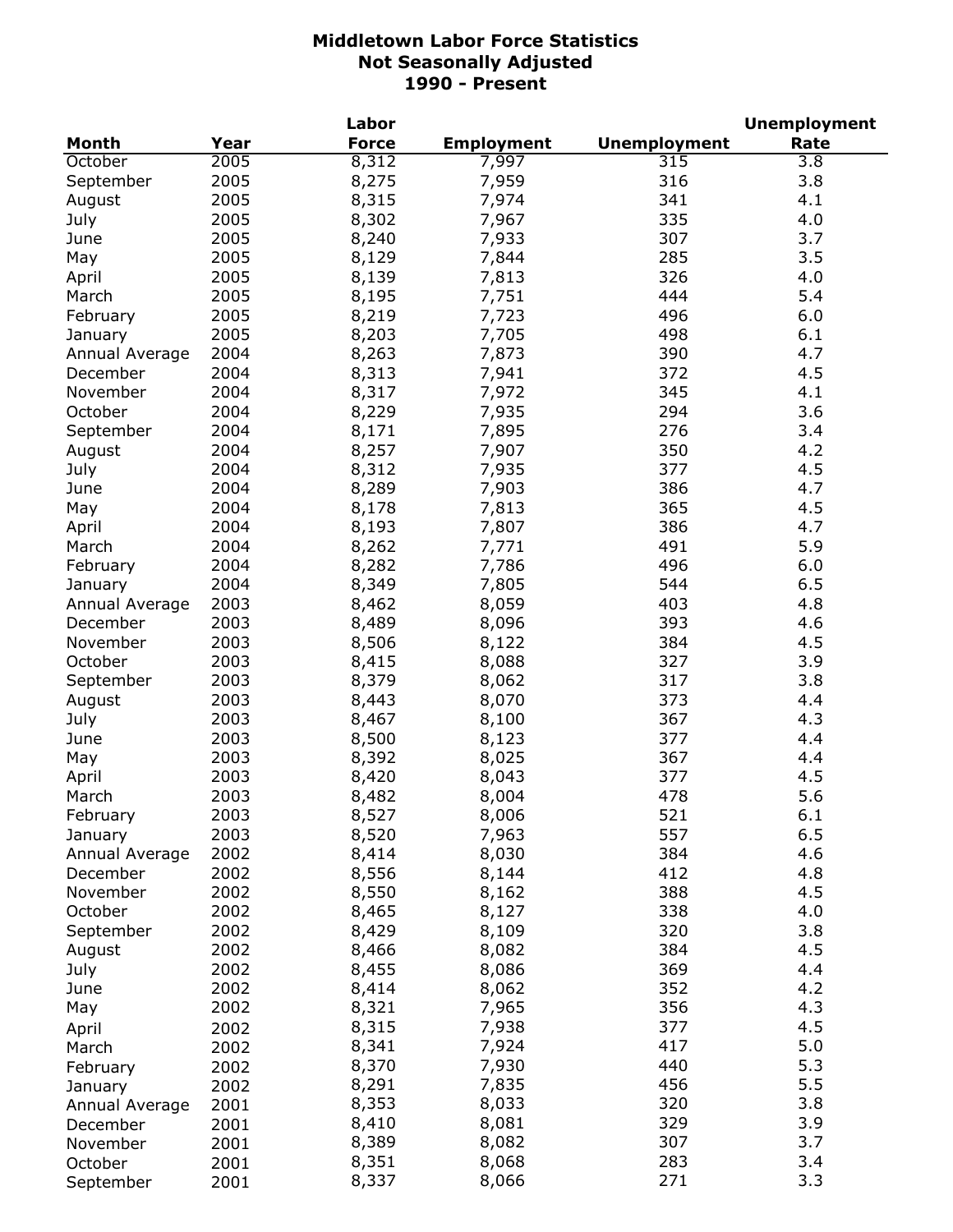|                           |              | Labor          |                   |                     | <b>Unemployment</b> |
|---------------------------|--------------|----------------|-------------------|---------------------|---------------------|
| <b>Month</b>              | Year         | <b>Force</b>   | <b>Employment</b> | <b>Unemployment</b> | Rate                |
| October                   | 2005         | 8,312          | 7,997             | 315                 | $\overline{3.8}$    |
| September                 | 2005         | 8,275          | 7,959             | 316                 | 3.8                 |
| August                    | 2005         | 8,315          | 7,974             | 341                 | 4.1                 |
| July                      | 2005         | 8,302          | 7,967             | 335                 | 4.0                 |
| June                      | 2005         | 8,240          | 7,933             | 307                 | 3.7                 |
| May                       | 2005         | 8,129          | 7,844             | 285                 | 3.5                 |
| April                     | 2005         | 8,139          | 7,813             | 326                 | 4.0                 |
| March                     | 2005         | 8,195          | 7,751             | 444                 | 5.4                 |
| February                  | 2005         | 8,219          | 7,723             | 496                 | 6.0                 |
| January                   | 2005         | 8,203          | 7,705             | 498                 | 6.1                 |
| Annual Average            | 2004         | 8,263          | 7,873             | 390                 | 4.7                 |
| December                  | 2004         | 8,313          | 7,941             | 372                 | 4.5                 |
| November                  | 2004         | 8,317          | 7,972             | 345                 | 4.1                 |
| October                   | 2004         | 8,229          | 7,935             | 294                 | 3.6                 |
| September                 | 2004         | 8,171          | 7,895             | 276                 | 3.4                 |
| August                    | 2004         | 8,257          | 7,907             | 350                 | 4.2                 |
| July                      | 2004         | 8,312          | 7,935             | 377                 | 4.5                 |
| June                      | 2004         | 8,289          | 7,903             | 386                 | 4.7                 |
| May                       | 2004         | 8,178          | 7,813             | 365                 | 4.5                 |
| April                     | 2004         | 8,193          | 7,807             | 386                 | 4.7                 |
| March                     | 2004         | 8,262          | 7,771             | 491                 | 5.9                 |
| February                  | 2004         | 8,282          | 7,786             | 496                 | 6.0                 |
| January                   | 2004         | 8,349          | 7,805             | 544                 | 6.5                 |
| Annual Average            | 2003         | 8,462          | 8,059             | 403                 | 4.8                 |
| December                  | 2003         | 8,489          | 8,096             | 393                 | 4.6                 |
| November                  | 2003         | 8,506          | 8,122             | 384                 | 4.5                 |
| October                   | 2003         | 8,415          | 8,088             | 327                 | 3.9                 |
|                           | 2003         | 8,379          | 8,062             | 317                 | 3.8                 |
| September                 | 2003         | 8,443          | 8,070             | 373                 | 4.4                 |
| August<br>July            | 2003         | 8,467          | 8,100             | 367                 | 4.3                 |
| June                      | 2003         |                |                   | 377                 | 4.4                 |
|                           | 2003         | 8,500<br>8,392 | 8,123<br>8,025    | 367                 | 4.4                 |
| May<br>April              | 2003         | 8,420          | 8,043             | 377                 | 4.5                 |
| March                     | 2003         | 8,482          | 8,004             | 478                 | 5.6                 |
|                           |              |                |                   |                     |                     |
| February                  | 2003<br>2003 | 8,527          | 8,006<br>7,963    | 521<br>557          | 6.1<br>6.5          |
| January<br>Annual Average | 2002         | 8,520          | 8,030             | 384                 | 4.6                 |
| December                  | 2002         | 8,414<br>8,556 |                   | 412                 | 4.8                 |
| November                  | 2002         | 8,550          | 8,144             | 388                 | 4.5                 |
| October                   | 2002         | 8,465          | 8,162<br>8,127    | 338                 | 4.0                 |
| September                 | 2002         | 8,429          | 8,109             | 320                 | 3.8                 |
|                           | 2002         | 8,466          | 8,082             | 384                 | 4.5                 |
| August<br>July            | 2002         | 8,455          | 8,086             | 369                 | 4.4                 |
| June                      | 2002         | 8,414          | 8,062             | 352                 | 4.2                 |
|                           | 2002         | 8,321          | 7,965             | 356                 | 4.3                 |
| May                       |              |                |                   |                     | 4.5                 |
| April                     | 2002         | 8,315          | 7,938             | 377<br>417          | 5.0                 |
| March                     | 2002         | 8,341          | 7,924             | 440                 | 5.3                 |
| February                  | 2002         | 8,370          | 7,930             | 456                 | 5.5                 |
| January                   | 2002         | 8,291          | 7,835             | 320                 | 3.8                 |
| Annual Average            | 2001         | 8,353<br>8,410 | 8,033             | 329                 | 3.9                 |
| December                  | 2001         |                | 8,081             | 307                 | 3.7                 |
| November                  | 2001         | 8,389<br>8,351 | 8,082             | 283                 | 3.4                 |
| October                   | 2001         | 8,337          | 8,068<br>8,066    | 271                 | 3.3                 |
| September                 | 2001         |                |                   |                     |                     |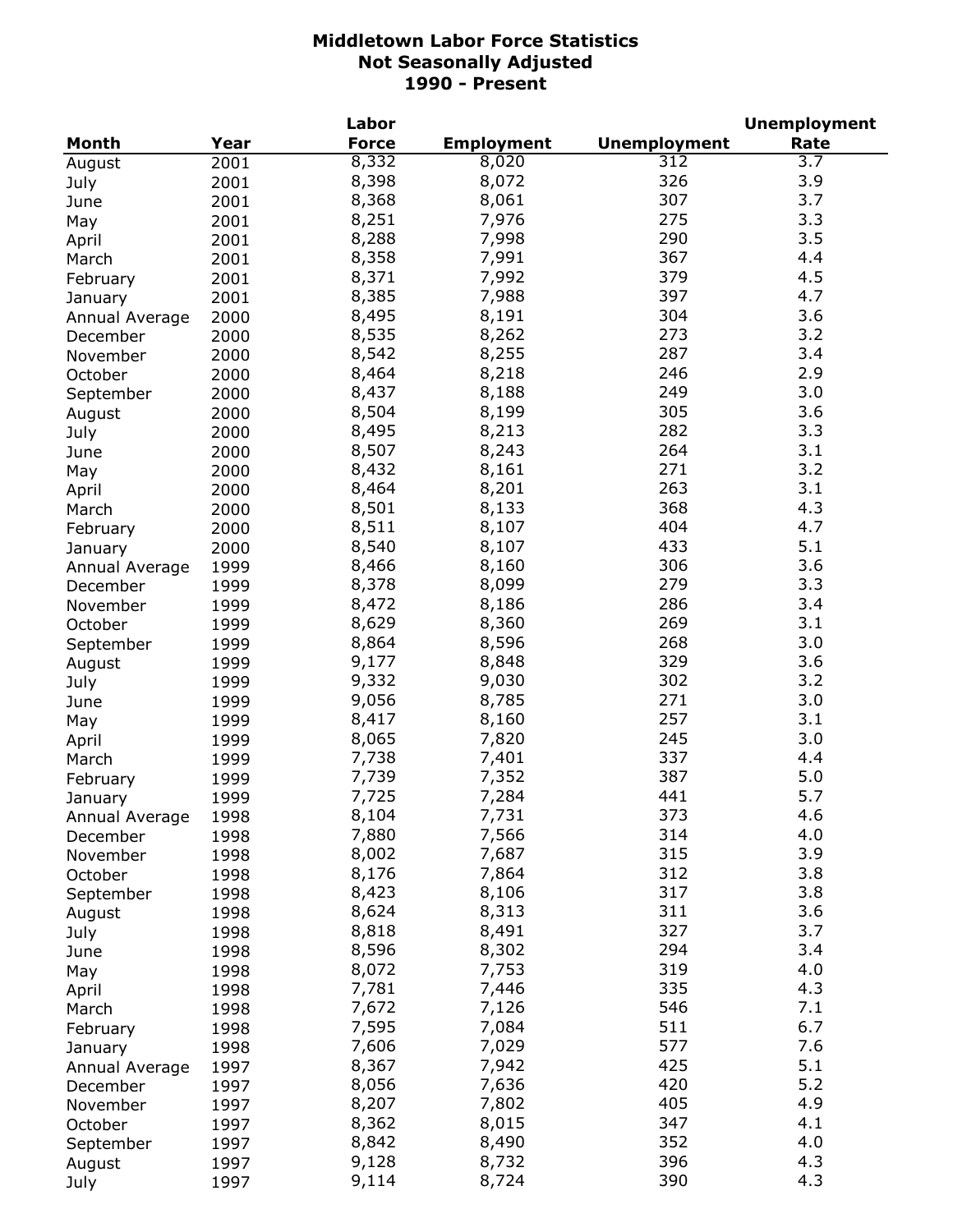|                |      | Labor        |                   |                     | <b>Unemployment</b> |
|----------------|------|--------------|-------------------|---------------------|---------------------|
| Month          | Year | <b>Force</b> | <b>Employment</b> | <b>Unemployment</b> | Rate                |
| August         | 2001 | 8,332        | 8,020             | 312                 | 3.7                 |
| July           | 2001 | 8,398        | 8,072             | 326                 | 3.9                 |
| June           | 2001 | 8,368        | 8,061             | 307                 | 3.7                 |
| May            | 2001 | 8,251        | 7,976             | 275                 | 3.3                 |
| April          | 2001 | 8,288        | 7,998             | 290                 | 3.5                 |
| March          | 2001 | 8,358        | 7,991             | 367                 | 4.4                 |
| February       | 2001 | 8,371        | 7,992             | 379                 | 4.5                 |
| January        | 2001 | 8,385        | 7,988             | 397                 | 4.7                 |
| Annual Average | 2000 | 8,495        | 8,191             | 304                 | 3.6                 |
| December       | 2000 | 8,535        | 8,262             | 273                 | 3.2                 |
| November       | 2000 | 8,542        | 8,255             | 287                 | 3.4                 |
| October        | 2000 | 8,464        | 8,218             | 246                 | 2.9                 |
| September      | 2000 | 8,437        | 8,188             | 249                 | 3.0                 |
|                | 2000 | 8,504        | 8,199             | 305                 | 3.6                 |
| August         |      | 8,495        | 8,213             | 282                 | 3.3                 |
| July           | 2000 | 8,507        | 8,243             | 264                 | 3.1                 |
| June           | 2000 | 8,432        | 8,161             | 271                 | 3.2                 |
| May            | 2000 |              |                   | 263                 | 3.1                 |
| April          | 2000 | 8,464        | 8,201             |                     |                     |
| March          | 2000 | 8,501        | 8,133             | 368                 | 4.3                 |
| February       | 2000 | 8,511        | 8,107             | 404                 | 4.7                 |
| January        | 2000 | 8,540        | 8,107             | 433                 | 5.1                 |
| Annual Average | 1999 | 8,466        | 8,160             | 306                 | 3.6                 |
| December       | 1999 | 8,378        | 8,099             | 279                 | 3.3                 |
| November       | 1999 | 8,472        | 8,186             | 286                 | 3.4                 |
| October        | 1999 | 8,629        | 8,360             | 269                 | 3.1                 |
| September      | 1999 | 8,864        | 8,596             | 268                 | 3.0                 |
| August         | 1999 | 9,177        | 8,848             | 329                 | 3.6                 |
| July           | 1999 | 9,332        | 9,030             | 302                 | 3.2                 |
| June           | 1999 | 9,056        | 8,785             | 271                 | 3.0                 |
| May            | 1999 | 8,417        | 8,160             | 257                 | 3.1                 |
| April          | 1999 | 8,065        | 7,820             | 245                 | 3.0                 |
| March          | 1999 | 7,738        | 7,401             | 337                 | 4.4                 |
| February       | 1999 | 7,739        | 7,352             | 387                 | 5.0                 |
| January        | 1999 | 7,725        | 7,284             | 441                 | 5.7                 |
| Annual Average | 1998 | 8,104        | 7,731             | 373                 | 4.6                 |
| December       | 1998 | 7,880        | 7,566             | 314                 | 4.0                 |
| November       | 1998 | 8,002        | 7,687             | 315                 | 3.9                 |
| October        | 1998 | 8,176        | 7,864             | 312                 | 3.8                 |
| September      | 1998 | 8,423        | 8,106             | 317                 | 3.8                 |
| August         | 1998 | 8,624        | 8,313             | 311                 | 3.6                 |
| July           | 1998 | 8,818        | 8,491             | 327                 | 3.7                 |
| June           | 1998 | 8,596        | 8,302             | 294                 | 3.4                 |
| May            | 1998 | 8,072        | 7,753             | 319                 | 4.0                 |
| April          | 1998 | 7,781        | 7,446             | 335                 | 4.3                 |
| March          | 1998 | 7,672        | 7,126             | 546                 | 7.1                 |
| February       | 1998 | 7,595        | 7,084             | 511                 | 6.7                 |
| January        | 1998 | 7,606        | 7,029             | 577                 | 7.6                 |
| Annual Average | 1997 | 8,367        | 7,942             | 425                 | 5.1                 |
| December       | 1997 | 8,056        | 7,636             | 420                 | 5.2                 |
| November       | 1997 | 8,207        | 7,802             | 405                 | 4.9                 |
| October        | 1997 | 8,362        | 8,015             | 347                 | 4.1                 |
| September      | 1997 | 8,842        | 8,490             | 352                 | 4.0                 |
| August         | 1997 | 9,128        | 8,732             | 396                 | 4.3                 |
| July           | 1997 | 9,114        | 8,724             | 390                 | 4.3                 |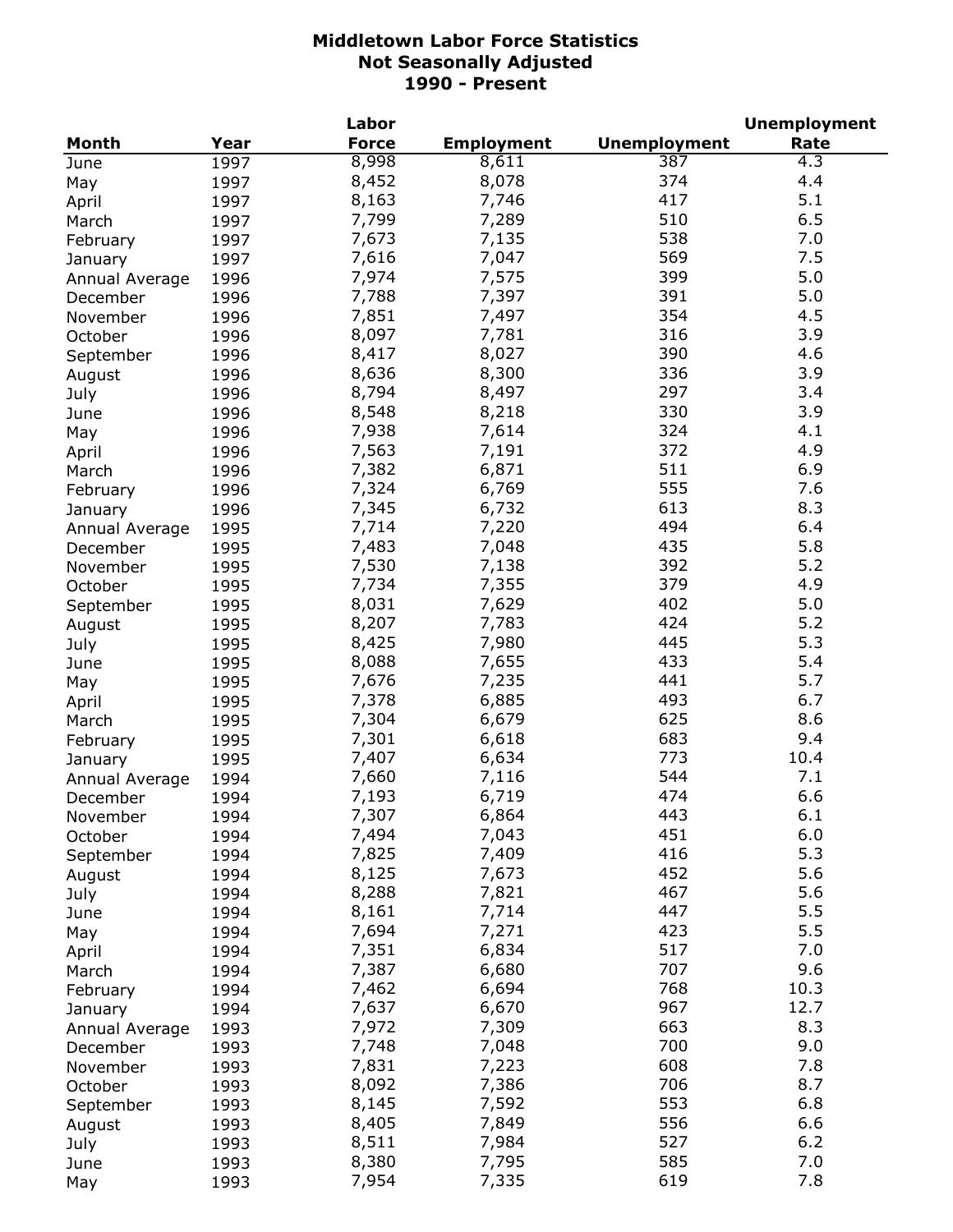|                |      | Labor        |                   |                     | <b>Unemployment</b> |
|----------------|------|--------------|-------------------|---------------------|---------------------|
| <b>Month</b>   | Year | <b>Force</b> | <b>Employment</b> | <b>Unemployment</b> | Rate                |
| June           | 1997 | 8,998        | 8,611             | 387                 | $\overline{4.3}$    |
| May            | 1997 | 8,452        | 8,078             | 374                 | 4.4                 |
| April          | 1997 | 8,163        | 7,746             | 417                 | 5.1                 |
| March          | 1997 | 7,799        | 7,289             | 510                 | 6.5                 |
| February       | 1997 | 7,673        | 7,135             | 538                 | 7.0                 |
| January        | 1997 | 7,616        | 7,047             | 569                 | 7.5                 |
| Annual Average | 1996 | 7,974        | 7,575             | 399                 | 5.0                 |
|                | 1996 | 7,788        | 7,397             | 391                 | 5.0                 |
| December       |      | 7,851        | 7,497             | 354                 | 4.5                 |
| November       | 1996 | 8,097        |                   | 316                 | 3.9                 |
| October        | 1996 |              | 7,781             |                     |                     |
| September      | 1996 | 8,417        | 8,027             | 390                 | 4.6                 |
| August         | 1996 | 8,636        | 8,300             | 336                 | 3.9                 |
| July           | 1996 | 8,794        | 8,497             | 297                 | 3.4                 |
| June           | 1996 | 8,548        | 8,218             | 330                 | 3.9                 |
| May            | 1996 | 7,938        | 7,614             | 324                 | 4.1                 |
| April          | 1996 | 7,563        | 7,191             | 372                 | 4.9                 |
| March          | 1996 | 7,382        | 6,871             | 511                 | 6.9                 |
| February       | 1996 | 7,324        | 6,769             | 555                 | 7.6                 |
| January        | 1996 | 7,345        | 6,732             | 613                 | 8.3                 |
| Annual Average | 1995 | 7,714        | 7,220             | 494                 | 6.4                 |
| December       | 1995 | 7,483        | 7,048             | 435                 | 5.8                 |
| November       | 1995 | 7,530        | 7,138             | 392                 | 5.2                 |
| October        | 1995 | 7,734        | 7,355             | 379                 | 4.9                 |
| September      | 1995 | 8,031        | 7,629             | 402                 | 5.0                 |
| August         | 1995 | 8,207        | 7,783             | 424                 | 5.2                 |
| July           | 1995 | 8,425        | 7,980             | 445                 | 5.3                 |
| June           | 1995 | 8,088        | 7,655             | 433                 | 5.4                 |
|                |      | 7,676        | 7,235             | 441                 | 5.7                 |
| May            | 1995 | 7,378        | 6,885             | 493                 | 6.7                 |
| April          | 1995 | 7,304        |                   | 625                 | 8.6                 |
| March          | 1995 |              | 6,679             |                     |                     |
| February       | 1995 | 7,301        | 6,618             | 683                 | 9.4                 |
| January        | 1995 | 7,407        | 6,634             | 773                 | 10.4                |
| Annual Average | 1994 | 7,660        | 7,116             | 544                 | 7.1                 |
| December       | 1994 | 7,193        | 6,719             | 474                 | 6.6                 |
| November       | 1994 | 7,307        | 6,864             | 443                 | $6.1$               |
| October        | 1994 | 7,494        | 7,043             | 451                 | 6.0                 |
| September      | 1994 | 7,825        | 7,409             | 416                 | 5.3                 |
| August         | 1994 | 8,125        | 7,673             | 452                 | 5.6                 |
| July           | 1994 | 8,288        | 7,821             | 467                 | 5.6                 |
| June           | 1994 | 8,161        | 7,714             | 447                 | 5.5                 |
| May            | 1994 | 7,694        | 7,271             | 423                 | 5.5                 |
| April          | 1994 | 7,351        | 6,834             | 517                 | 7.0                 |
| March          | 1994 | 7,387        | 6,680             | 707                 | 9.6                 |
| February       | 1994 | 7,462        | 6,694             | 768                 | 10.3                |
| January        | 1994 | 7,637        | 6,670             | 967                 | 12.7                |
| Annual Average | 1993 | 7,972        | 7,309             | 663                 | 8.3                 |
| December       | 1993 | 7,748        | 7,048             | 700                 | 9.0                 |
| November       | 1993 | 7,831        | 7,223             | 608                 | 7.8                 |
| October        | 1993 | 8,092        | 7,386             | 706                 | 8.7                 |
|                |      | 8,145        | 7,592             | 553                 | 6.8                 |
| September      | 1993 |              |                   | 556                 | 6.6                 |
| August         | 1993 | 8,405        | 7,849             |                     |                     |
| July           | 1993 | 8,511        | 7,984             | 527                 | 6.2                 |
| June           | 1993 | 8,380        | 7,795             | 585                 | 7.0                 |
| May            | 1993 | 7,954        | 7,335             | 619                 | 7.8                 |